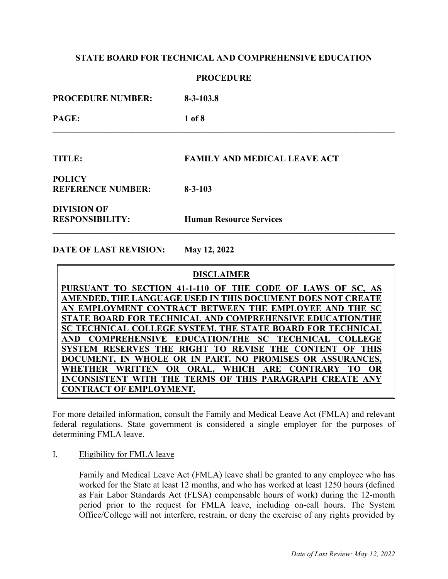### **PROCEDURE**

**PROCEDURE NUMBER: 8-3-103.8 PAGE: 1 of 8 \_\_\_\_\_\_\_\_\_\_\_\_\_\_\_\_\_\_\_\_\_\_\_\_\_\_\_\_\_\_\_\_\_\_\_\_\_\_\_\_\_\_\_\_\_\_\_\_\_\_\_\_\_\_\_\_\_\_\_\_\_\_\_\_\_\_\_\_\_\_\_\_\_\_\_\_\_\_ TITLE: FAMILY AND MEDICAL LEAVE ACT POLICY REFERENCE NUMBER: 8-3-103** 

**DIVISION OF**

**RESPONSIBILITY: Human Resource Services** 

**DATE OF LAST REVISION: May 12, 2022** 

### **DISCLAIMER**

**\_\_\_\_\_\_\_\_\_\_\_\_\_\_\_\_\_\_\_\_\_\_\_\_\_\_\_\_\_\_\_\_\_\_\_\_\_\_\_\_\_\_\_\_\_\_\_\_\_\_\_\_\_\_\_\_\_\_\_\_\_\_\_\_\_\_\_\_\_\_\_\_\_\_\_\_\_\_** 

**PURSUANT TO SECTION 41-1-110 OF THE CODE OF LAWS OF SC, AS AMENDED, THE LANGUAGE USED IN THIS DOCUMENT DOES NOT CREATE AN EMPLOYMENT CONTRACT BETWEEN THE EMPLOYEE AND THE SC STATE BOARD FOR TECHNICAL AND COMPREHENSIVE EDUCATION/THE SC TECHNICAL COLLEGE SYSTEM. THE STATE BOARD FOR TECHNICAL AND COMPREHENSIVE EDUCATION/THE SC TECHNICAL COLLEGE SYSTEM RESERVES THE RIGHT TO REVISE THE CONTENT OF THIS DOCUMENT, IN WHOLE OR IN PART. NO PROMISES OR ASSURANCES, WHETHER WRITTEN OR ORAL, WHICH ARE CONTRARY TO OR INCONSISTENT WITH THE TERMS OF THIS PARAGRAPH CREATE ANY CONTRACT OF EMPLOYMENT.**

For more detailed information, consult the [Family and Medical Leave Act \(FMLA\)](http://www.dol.gov/dol/topic/benefits-leave/fmla.htm) and relevant federal regulations. State government is considered a single employer for the purposes of determining FMLA leave.

I. Eligibility for FMLA leave

Family and Medical Leave Act (FMLA) leave shall be granted to any employee who has worked for the State at least 12 months, and who has worked at least 1250 hours (defined as Fair Labor Standards Act (FLSA) compensable hours of work) during the 12-month period prior to the request for FMLA leave, including on-call hours. The System Office/College will not interfere, restrain, or deny the exercise of any rights provided by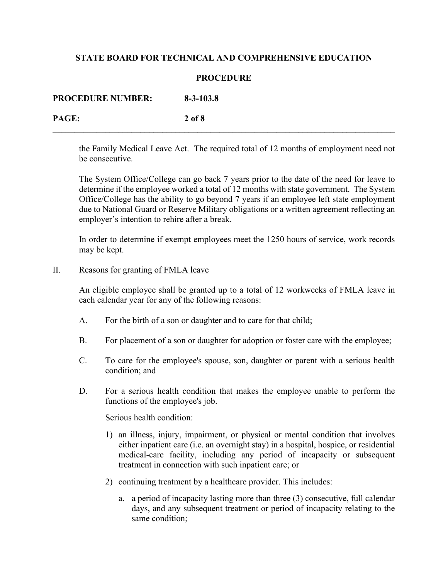### **PROCEDURE**

**\_\_\_\_\_\_\_\_\_\_\_\_\_\_\_\_\_\_\_\_\_\_\_\_\_\_\_\_\_\_\_\_\_\_\_\_\_\_\_\_\_\_\_\_\_\_\_\_\_\_\_\_\_\_\_\_\_\_\_\_\_\_\_\_\_\_\_\_\_\_\_\_\_\_\_\_\_\_** 

**PAGE: 2 of 8** 

the Family Medical Leave Act. The required total of 12 months of employment need not be consecutive.

The System Office/College can go back 7 years prior to the date of the need for leave to determine if the employee worked a total of 12 months with state government. The System Office/College has the ability to go beyond 7 years if an employee left state employment due to National Guard or Reserve Military obligations or a written agreement reflecting an employer's intention to rehire after a break.

In order to determine if exempt employees meet the 1250 hours of service, work records may be kept.

### II. Reasons for granting of FMLA leave

An eligible employee shall be granted up to a total of 12 workweeks of FMLA leave in each calendar year for any of the following reasons:

- A. For the birth of a son or daughter and to care for that child;
- B. For placement of a son or daughter for adoption or foster care with the employee;
- C. To care for the employee's spouse, son, daughter or parent with a serious health condition; and
- D. For a serious health condition that makes the employee unable to perform the functions of the employee's job.

Serious health condition:

- 1) an illness, injury, impairment, or physical or mental condition that involves either inpatient care (i.e. an overnight stay) in a hospital, hospice, or residential medical-care facility, including any period of incapacity or subsequent treatment in connection with such inpatient care; or
- 2) continuing treatment by a healthcare provider. This includes:
	- a. a period of incapacity lasting more than three (3) consecutive, full calendar days, and any subsequent treatment or period of incapacity relating to the same condition;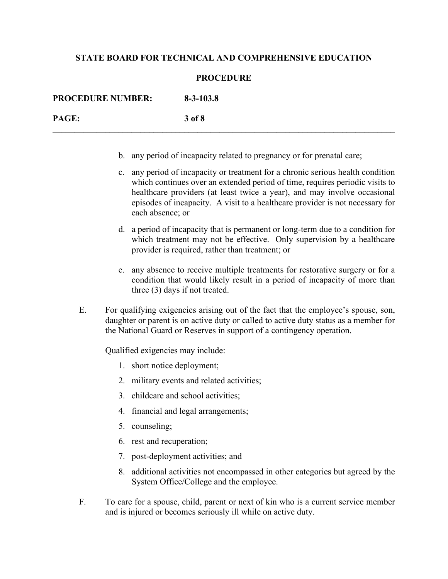### **PROCEDURE**

**\_\_\_\_\_\_\_\_\_\_\_\_\_\_\_\_\_\_\_\_\_\_\_\_\_\_\_\_\_\_\_\_\_\_\_\_\_\_\_\_\_\_\_\_\_\_\_\_\_\_\_\_\_\_\_\_\_\_\_\_\_\_\_\_\_\_\_\_\_\_\_\_\_\_\_\_\_\_**

**PROCEDURE NUMBER: 8-3-103.8 PAGE: 3 of 8**

- b. any period of incapacity related to pregnancy or for prenatal care;
- c. any period of incapacity or treatment for a chronic serious health condition which continues over an extended period of time, requires periodic visits to healthcare providers (at least twice a year), and may involve occasional episodes of incapacity. A visit to a healthcare provider is not necessary for each absence; or
- d. a period of incapacity that is permanent or long-term due to a condition for which treatment may not be effective. Only supervision by a healthcare provider is required, rather than treatment; or
- e. any absence to receive multiple treatments for restorative surgery or for a condition that would likely result in a period of incapacity of more than three (3) days if not treated.
- E. For qualifying exigencies arising out of the fact that the employee's spouse, son, daughter or parent is on active duty or called to active duty status as a member for the National Guard or Reserves in support of a contingency operation.

Qualified exigencies may include:

- 1. short notice deployment;
- 2. military events and related activities;
- 3. childcare and school activities;
- 4. financial and legal arrangements;
- 5. counseling;
- 6. rest and recuperation;
- 7. post-deployment activities; and
- 8. additional activities not encompassed in other categories but agreed by the System Office/College and the employee.
- F. To care for a spouse, child, parent or next of kin who is a current service member and is injured or becomes seriously ill while on active duty.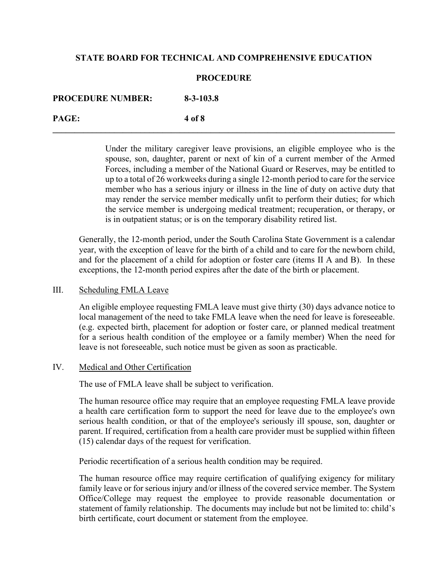### **PROCEDURE**

**\_\_\_\_\_\_\_\_\_\_\_\_\_\_\_\_\_\_\_\_\_\_\_\_\_\_\_\_\_\_\_\_\_\_\_\_\_\_\_\_\_\_\_\_\_\_\_\_\_\_\_\_\_\_\_\_\_\_\_\_\_\_\_\_\_\_\_\_\_\_\_\_\_\_\_\_\_\_** 

**PROCEDURE NUMBER: 8-3-103.8 PAGE: 4 of 8** 

> Under the military caregiver leave provisions, an eligible employee who is the spouse, son, daughter, parent or next of kin of a current member of the Armed Forces, including a member of the National Guard or Reserves, may be entitled to up to a total of 26 workweeks during a single 12-month period to care for the service member who has a serious injury or illness in the line of duty on active duty that may render the service member medically unfit to perform their duties; for which the service member is undergoing medical treatment; recuperation, or therapy, or is in outpatient status; or is on the temporary disability retired list.

Generally, the 12-month period, under the South Carolina State Government is a calendar year, with the exception of leave for the birth of a child and to care for the newborn child, and for the placement of a child for adoption or foster care (items II A and B). In these exceptions, the 12-month period expires after the date of the birth or placement.

### III. Scheduling FMLA Leave

An eligible employee requesting FMLA leave must give thirty (30) days advance notice to local management of the need to take FMLA leave when the need for leave is foreseeable. (e.g. expected birth, placement for adoption or foster care, or planned medical treatment for a serious health condition of the employee or a family member) When the need for leave is not foreseeable, such notice must be given as soon as practicable.

#### IV. Medical and Other Certification

The use of FMLA leave shall be subject to verification.

The human resource office may require that an employee requesting FMLA leave provide a health care certification form to support the need for leave due to the employee's own serious health condition, or that of the employee's seriously ill spouse, son, daughter or parent. If required, certification from a health care provider must be supplied within fifteen (15) calendar days of the request for verification.

Periodic recertification of a serious health condition may be required.

The human resource office may require certification of qualifying exigency for military family leave or for serious injury and/or illness of the covered service member. The System Office/College may request the employee to provide reasonable documentation or statement of family relationship. The documents may include but not be limited to: child's birth certificate, court document or statement from the employee.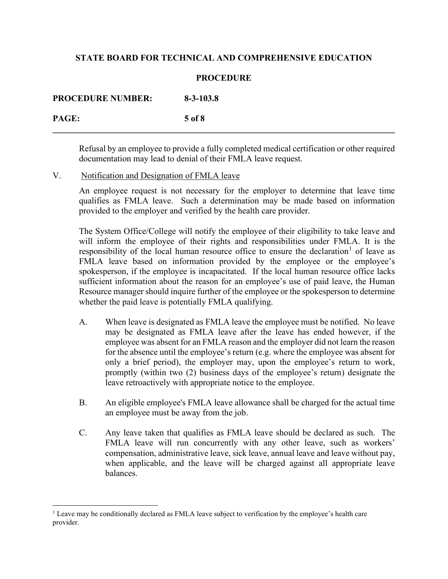# **PROCEDURE**

**\_\_\_\_\_\_\_\_\_\_\_\_\_\_\_\_\_\_\_\_\_\_\_\_\_\_\_\_\_\_\_\_\_\_\_\_\_\_\_\_\_\_\_\_\_\_\_\_\_\_\_\_\_\_\_\_\_\_\_\_\_\_\_\_\_\_\_\_\_\_\_\_\_\_\_\_\_\_** 

**PROCEDURE NUMBER: 8-3-103.8** 

**PAGE: 5 of 8** 

Refusal by an employee to provide a fully completed medical certification or other required documentation may lead to denial of their FMLA leave request.

V. Notification and Designation of FMLA leave

An employee request is not necessary for the employer to determine that leave time qualifies as FMLA leave. Such a determination may be made based on information provided to the employer and verified by the health care provider.

The System Office/College will notify the employee of their eligibility to take leave and will inform the employee of their rights and responsibilities under FMLA. It is the responsibility of the local human resource office to ensure the declaration<sup>[1](#page-4-0)</sup> of leave as FMLA leave based on information provided by the employee or the employee's spokesperson, if the employee is incapacitated. If the local human resource office lacks sufficient information about the reason for an employee's use of paid leave, the Human Resource manager should inquire further of the employee or the spokesperson to determine whether the paid leave is potentially FMLA qualifying.

- A. When leave is designated as FMLA leave the employee must be notified. No leave may be designated as FMLA leave after the leave has ended however, if the employee was absent for an FMLA reason and the employer did not learn the reason for the absence until the employee's return (e.g. where the employee was absent for only a brief period), the employer may, upon the employee's return to work, promptly (within two (2) business days of the employee's return) designate the leave retroactively with appropriate notice to the employee.
- B. An eligible employee's FMLA leave allowance shall be charged for the actual time an employee must be away from the job.
- C. Any leave taken that qualifies as FMLA leave should be declared as such. The FMLA leave will run concurrently with any other leave, such as workers' compensation, administrative leave, sick leave, annual leave and leave without pay, when applicable, and the leave will be charged against all appropriate leave balances.

<span id="page-4-0"></span><sup>&</sup>lt;sup>1</sup> Leave may be conditionally declared as FMLA leave subject to verification by the employee's health care provider.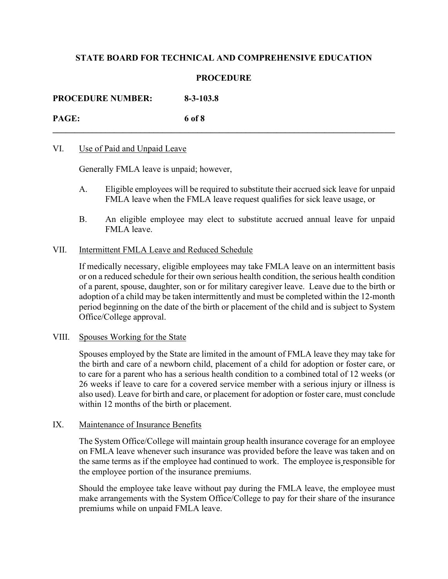## **PROCEDURE**

**\_\_\_\_\_\_\_\_\_\_\_\_\_\_\_\_\_\_\_\_\_\_\_\_\_\_\_\_\_\_\_\_\_\_\_\_\_\_\_\_\_\_\_\_\_\_\_\_\_\_\_\_\_\_\_\_\_\_\_\_\_\_\_\_\_\_\_\_\_\_\_\_\_\_\_\_\_\_** 

**PROCEDURE NUMBER: 8-3-103.8** 

**PAGE: 6 of 8** 

### VI. Use of Paid and Unpaid Leave

Generally FMLA leave is unpaid; however,

- A. Eligible employees will be required to substitute their accrued sick leave for unpaid FMLA leave when the FMLA leave request qualifies for sick leave usage, or
- B. An eligible employee may elect to substitute accrued annual leave for unpaid FMLA leave.

### VII. Intermittent FMLA Leave and Reduced Schedule

If medically necessary, eligible employees may take FMLA leave on an intermittent basis or on a reduced schedule for their own serious health condition, the serious health condition of a parent, spouse, daughter, son or for military caregiver leave. Leave due to the birth or adoption of a child may be taken intermittently and must be completed within the 12-month period beginning on the date of the birth or placement of the child and is subject to System Office/College approval.

#### VIII. Spouses Working for the State

Spouses employed by the State are limited in the amount of FMLA leave they may take for the birth and care of a newborn child, placement of a child for adoption or foster care, or to care for a parent who has a serious health condition to a combined total of 12 weeks (or 26 weeks if leave to care for a covered service member with a serious injury or illness is also used). Leave for birth and care, or placement for adoption or foster care, must conclude within 12 months of the birth or placement.

#### IX. Maintenance of Insurance Benefits

The System Office/College will maintain group health insurance coverage for an employee on FMLA leave whenever such insurance was provided before the leave was taken and on the same terms as if the employee had continued to work. The employee is responsible for the employee portion of the insurance premiums.

Should the employee take leave without pay during the FMLA leave, the employee must make arrangements with the System Office/College to pay for their share of the insurance premiums while on unpaid FMLA leave.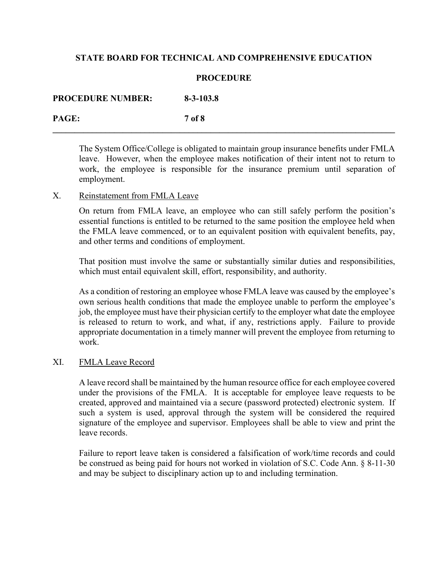### **PROCEDURE**

**PROCEDURE NUMBER: 8-3-103.8** 

**PAGE: 7 of 8 \_\_\_\_\_\_\_\_\_\_\_\_\_\_\_\_\_\_\_\_\_\_\_\_\_\_\_\_\_\_\_\_\_\_\_\_\_\_\_\_\_\_\_\_\_\_\_\_\_\_\_\_\_\_\_\_\_\_\_\_\_\_\_\_\_\_\_\_\_\_\_\_\_\_\_\_\_\_** 

The System Office/College is obligated to maintain group insurance benefits under FMLA leave. However, when the employee makes notification of their intent not to return to work, the employee is responsible for the insurance premium until separation of employment.

### X. Reinstatement from FMLA Leave

On return from FMLA leave, an employee who can still safely perform the position's essential functions is entitled to be returned to the same position the employee held when the FMLA leave commenced, or to an equivalent position with equivalent benefits, pay, and other terms and conditions of employment.

That position must involve the same or substantially similar duties and responsibilities, which must entail equivalent skill, effort, responsibility, and authority.

As a condition of restoring an employee whose FMLA leave was caused by the employee's own serious health conditions that made the employee unable to perform the employee's job, the employee must have their physician certify to the employer what date the employee is released to return to work, and what, if any, restrictions apply. Failure to provide appropriate documentation in a timely manner will prevent the employee from returning to work.

# XI. FMLA Leave Record

A leave record shall be maintained by the human resource office for each employee covered under the provisions of the FMLA. It is acceptable for employee leave requests to be created, approved and maintained via a secure (password protected) electronic system. If such a system is used, approval through the system will be considered the required signature of the employee and supervisor. Employees shall be able to view and print the leave records.

Failure to report leave taken is considered a falsification of work/time records and could be construed as being paid for hours not worked in violation of S.C. Code Ann. § 8-11-30 and may be subject to disciplinary action up to and including termination.